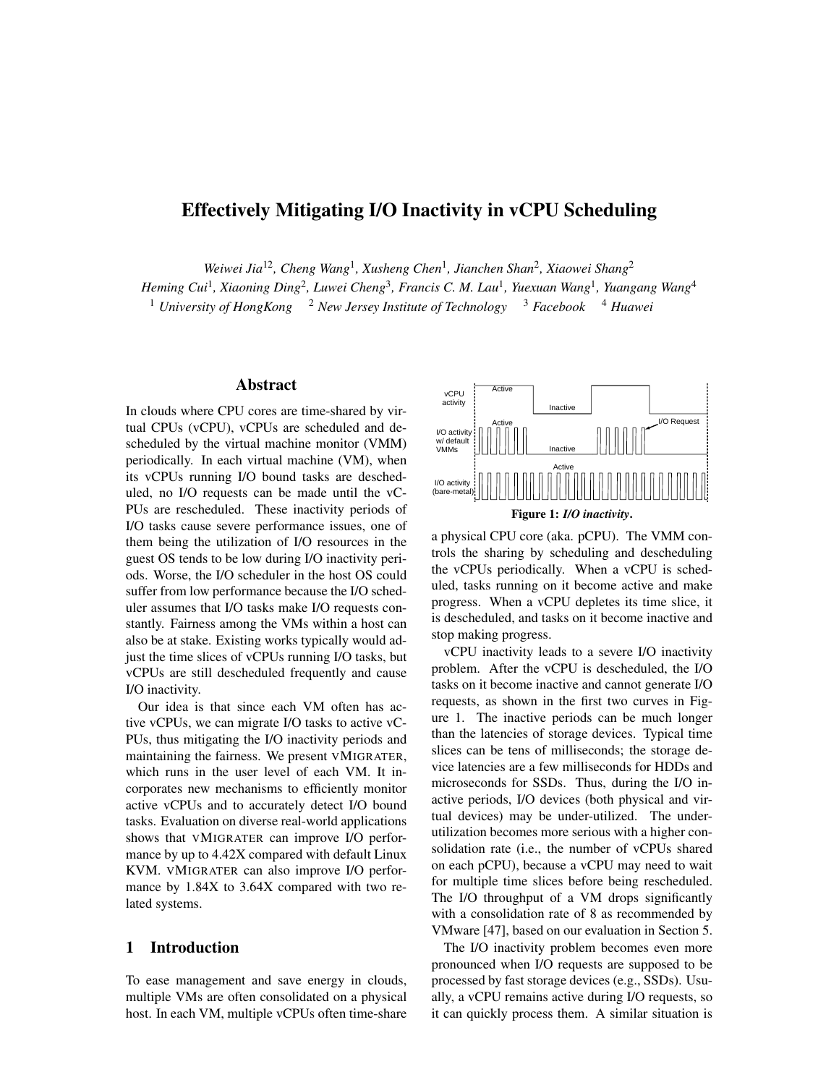# Effectively Mitigating I/O Inactivity in vCPU Scheduling

*Weiwei Jia*12*, Cheng Wang*<sup>1</sup> *, Xusheng Chen*<sup>1</sup> *, Jianchen Shan*<sup>2</sup> *, Xiaowei Shang*<sup>2</sup>

*Heming Cui*<sup>1</sup> *, Xiaoning Ding*<sup>2</sup> *, Luwei Cheng*<sup>3</sup> *, Francis C. M. Lau*<sup>1</sup> *, Yuexuan Wang*<sup>1</sup> *, Yuangang Wang*<sup>4</sup>

<sup>1</sup> *University of HongKong* <sup>2</sup> *New Jersey Institute of Technology* <sup>3</sup> *Facebook* <sup>4</sup> *Huawei* 

## Abstract

In clouds where CPU cores are time-shared by virtual CPUs (vCPU), vCPUs are scheduled and descheduled by the virtual machine monitor (VMM) periodically. In each virtual machine (VM), when its vCPUs running I/O bound tasks are descheduled, no I/O requests can be made until the vC-PUs are rescheduled. These inactivity periods of I/O tasks cause severe performance issues, one of them being the utilization of I/O resources in the guest OS tends to be low during I/O inactivity periods. Worse, the I/O scheduler in the host OS could suffer from low performance because the I/O scheduler assumes that I/O tasks make I/O requests constantly. Fairness among the VMs within a host can also be at stake. Existing works typically would adjust the time slices of vCPUs running I/O tasks, but vCPUs are still descheduled frequently and cause I/O inactivity.

Our idea is that since each VM often has active vCPUs, we can migrate I/O tasks to active vC-PUs, thus mitigating the I/O inactivity periods and maintaining the fairness. We present VMIGRATER, which runs in the user level of each VM. It incorporates new mechanisms to efficiently monitor active vCPUs and to accurately detect I/O bound tasks. Evaluation on diverse real-world applications shows that VMIGRATER can improve I/O performance by up to 4.42X compared with default Linux KVM. VMIGRATER can also improve I/O performance by 1.84X to 3.64X compared with two related systems.

## 1 Introduction

To ease management and save energy in clouds, multiple VMs are often consolidated on a physical host. In each VM, multiple vCPUs often time-share



a physical CPU core (aka. pCPU). The VMM controls the sharing by scheduling and descheduling the vCPUs periodically. When a vCPU is scheduled, tasks running on it become active and make progress. When a vCPU depletes its time slice, it is descheduled, and tasks on it become inactive and stop making progress.

vCPU inactivity leads to a severe I/O inactivity problem. After the vCPU is descheduled, the I/O tasks on it become inactive and cannot generate I/O requests, as shown in the first two curves in Figure 1. The inactive periods can be much longer than the latencies of storage devices. Typical time slices can be tens of milliseconds; the storage device latencies are a few milliseconds for HDDs and microseconds for SSDs. Thus, during the I/O inactive periods, I/O devices (both physical and virtual devices) may be under-utilized. The underutilization becomes more serious with a higher consolidation rate (i.e., the number of vCPUs shared on each pCPU), because a vCPU may need to wait for multiple time slices before being rescheduled. The I/O throughput of a VM drops significantly with a consolidation rate of 8 as recommended by VMware [47], based on our evaluation in Section 5.

The I/O inactivity problem becomes even more pronounced when I/O requests are supposed to be processed by fast storage devices (e.g., SSDs). Usually, a vCPU remains active during I/O requests, so it can quickly process them. A similar situation is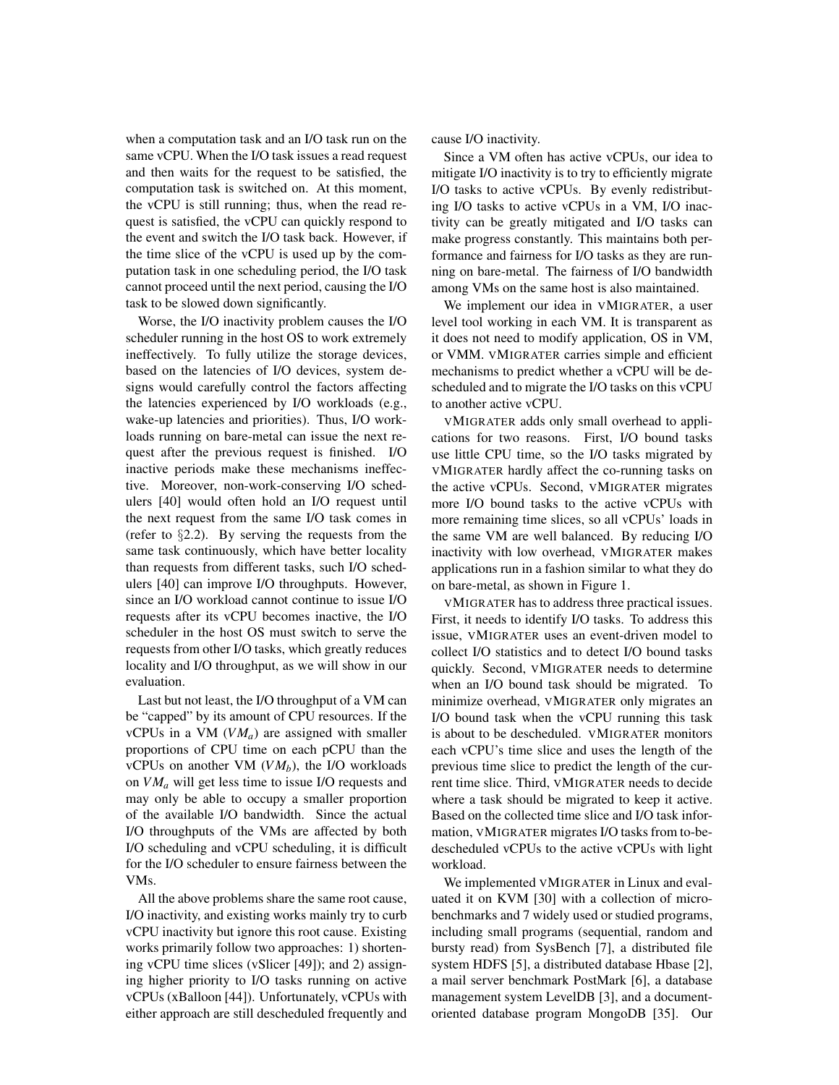when a computation task and an I/O task run on the same vCPU. When the I/O task issues a read request and then waits for the request to be satisfied, the computation task is switched on. At this moment, the vCPU is still running; thus, when the read request is satisfied, the vCPU can quickly respond to the event and switch the I/O task back. However, if the time slice of the vCPU is used up by the computation task in one scheduling period, the I/O task cannot proceed until the next period, causing the I/O task to be slowed down significantly.

Worse, the I/O inactivity problem causes the I/O scheduler running in the host OS to work extremely ineffectively. To fully utilize the storage devices, based on the latencies of I/O devices, system designs would carefully control the factors affecting the latencies experienced by I/O workloads (e.g., wake-up latencies and priorities). Thus, I/O workloads running on bare-metal can issue the next request after the previous request is finished. I/O inactive periods make these mechanisms ineffective. Moreover, non-work-conserving I/O schedulers [40] would often hold an I/O request until the next request from the same I/O task comes in (refer to  $\S 2.2$ ). By serving the requests from the same task continuously, which have better locality than requests from different tasks, such I/O schedulers [40] can improve I/O throughputs. However, since an I/O workload cannot continue to issue I/O requests after its vCPU becomes inactive, the I/O scheduler in the host OS must switch to serve the requests from other I/O tasks, which greatly reduces locality and I/O throughput, as we will show in our evaluation.

Last but not least, the I/O throughput of a VM can be "capped" by its amount of CPU resources. If the vCPUs in a VM (*VMa*) are assigned with smaller proportions of CPU time on each pCPU than the vCPUs on another VM  $(VM_b)$ , the I/O workloads on *VM<sup>a</sup>* will get less time to issue I/O requests and may only be able to occupy a smaller proportion of the available I/O bandwidth. Since the actual I/O throughputs of the VMs are affected by both I/O scheduling and vCPU scheduling, it is difficult for the I/O scheduler to ensure fairness between the VMs.

All the above problems share the same root cause, I/O inactivity, and existing works mainly try to curb vCPU inactivity but ignore this root cause. Existing works primarily follow two approaches: 1) shortening vCPU time slices (vSlicer [49]); and 2) assigning higher priority to I/O tasks running on active vCPUs (xBalloon [44]). Unfortunately, vCPUs with either approach are still descheduled frequently and cause I/O inactivity.

Since a VM often has active vCPUs, our idea to mitigate I/O inactivity is to try to efficiently migrate I/O tasks to active vCPUs. By evenly redistributing I/O tasks to active vCPUs in a VM, I/O inactivity can be greatly mitigated and I/O tasks can make progress constantly. This maintains both performance and fairness for I/O tasks as they are running on bare-metal. The fairness of I/O bandwidth among VMs on the same host is also maintained.

We implement our idea in VMIGRATER, a user level tool working in each VM. It is transparent as it does not need to modify application, OS in VM, or VMM. VMIGRATER carries simple and efficient mechanisms to predict whether a vCPU will be descheduled and to migrate the I/O tasks on this vCPU to another active vCPU.

VMIGRATER adds only small overhead to applications for two reasons. First, I/O bound tasks use little CPU time, so the I/O tasks migrated by VMIGRATER hardly affect the co-running tasks on the active vCPUs. Second, VMIGRATER migrates more I/O bound tasks to the active vCPUs with more remaining time slices, so all vCPUs' loads in the same VM are well balanced. By reducing I/O inactivity with low overhead, VMIGRATER makes applications run in a fashion similar to what they do on bare-metal, as shown in Figure 1.

VMIGRATER has to address three practical issues. First, it needs to identify I/O tasks. To address this issue, VMIGRATER uses an event-driven model to collect I/O statistics and to detect I/O bound tasks quickly. Second, VMIGRATER needs to determine when an I/O bound task should be migrated. To minimize overhead, VMIGRATER only migrates an I/O bound task when the vCPU running this task is about to be descheduled. VMIGRATER monitors each vCPU's time slice and uses the length of the previous time slice to predict the length of the current time slice. Third, VMIGRATER needs to decide where a task should be migrated to keep it active. Based on the collected time slice and I/O task information, VMIGRATER migrates I/O tasks from to-bedescheduled vCPUs to the active vCPUs with light workload.

We implemented VMIGRATER in Linux and evaluated it on KVM [30] with a collection of microbenchmarks and 7 widely used or studied programs, including small programs (sequential, random and bursty read) from SysBench [7], a distributed file system HDFS [5], a distributed database Hbase [2], a mail server benchmark PostMark [6], a database management system LevelDB [3], and a documentoriented database program MongoDB [35]. Our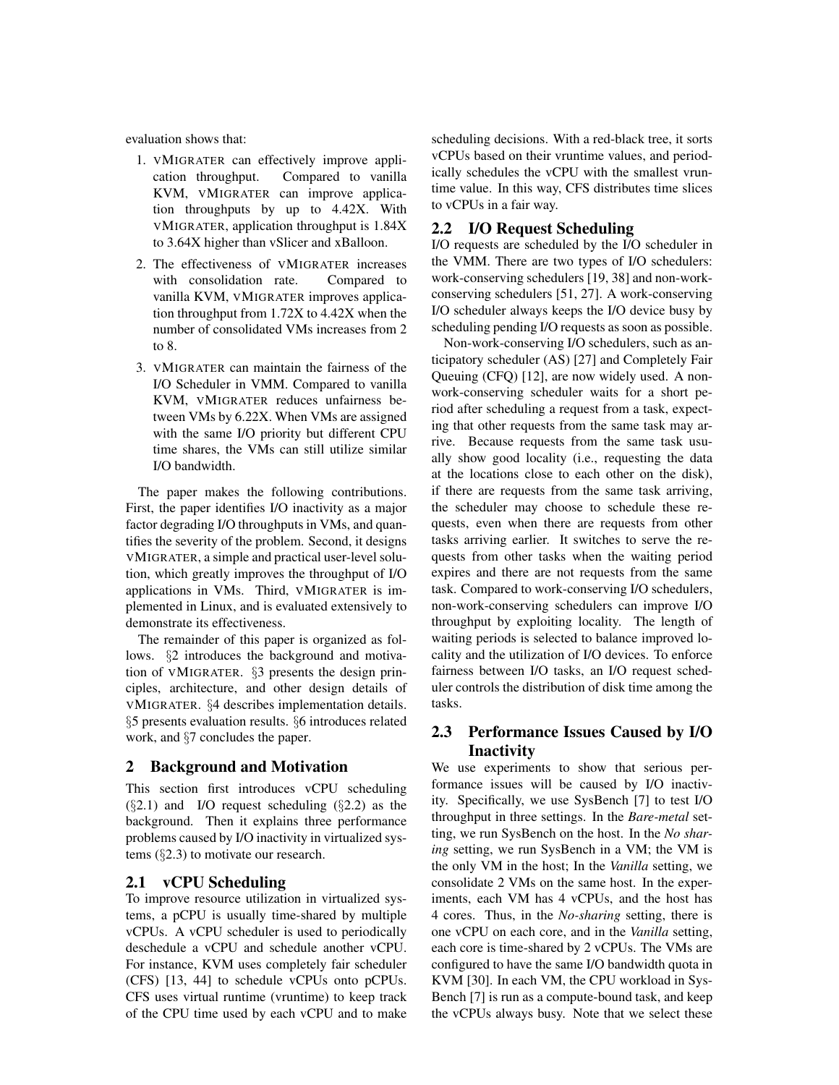evaluation shows that:

- 1. VMIGRATER can effectively improve application throughput. Compared to vanilla KVM, VMIGRATER can improve application throughputs by up to 4.42X. With VMIGRATER, application throughput is 1.84X to 3.64X higher than vSlicer and xBalloon.
- 2. The effectiveness of VMIGRATER increases with consolidation rate. Compared to vanilla KVM, VMIGRATER improves application throughput from 1.72X to 4.42X when the number of consolidated VMs increases from 2 to 8.
- 3. VMIGRATER can maintain the fairness of the I/O Scheduler in VMM. Compared to vanilla KVM, VMIGRATER reduces unfairness between VMs by 6.22X. When VMs are assigned with the same I/O priority but different CPU time shares, the VMs can still utilize similar I/O bandwidth.

The paper makes the following contributions. First, the paper identifies I/O inactivity as a major factor degrading I/O throughputs in VMs, and quantifies the severity of the problem. Second, it designs VMIGRATER, a simple and practical user-level solution, which greatly improves the throughput of I/O applications in VMs. Third, VMIGRATER is implemented in Linux, and is evaluated extensively to demonstrate its effectiveness.

The remainder of this paper is organized as follows. §2 introduces the background and motivation of VMIGRATER. §3 presents the design principles, architecture, and other design details of VMIGRATER. §4 describes implementation details. §5 presents evaluation results. §6 introduces related work, and §7 concludes the paper.

## 2 Background and Motivation

This section first introduces vCPU scheduling  $(\S2.1)$  and I/O request scheduling  $(\S2.2)$  as the background. Then it explains three performance problems caused by I/O inactivity in virtualized systems (§2.3) to motivate our research.

## 2.1 vCPU Scheduling

To improve resource utilization in virtualized systems, a pCPU is usually time-shared by multiple vCPUs. A vCPU scheduler is used to periodically deschedule a vCPU and schedule another vCPU. For instance, KVM uses completely fair scheduler (CFS) [13, 44] to schedule vCPUs onto pCPUs. CFS uses virtual runtime (vruntime) to keep track of the CPU time used by each vCPU and to make scheduling decisions. With a red-black tree, it sorts vCPUs based on their vruntime values, and periodically schedules the vCPU with the smallest vruntime value. In this way, CFS distributes time slices to vCPUs in a fair way.

#### 2.2 I/O Request Scheduling

I/O requests are scheduled by the I/O scheduler in the VMM. There are two types of I/O schedulers: work-conserving schedulers [19, 38] and non-workconserving schedulers [51, 27]. A work-conserving I/O scheduler always keeps the I/O device busy by scheduling pending I/O requests as soon as possible.

Non-work-conserving I/O schedulers, such as anticipatory scheduler (AS) [27] and Completely Fair Queuing (CFQ) [12], are now widely used. A nonwork-conserving scheduler waits for a short period after scheduling a request from a task, expecting that other requests from the same task may arrive. Because requests from the same task usually show good locality (i.e., requesting the data at the locations close to each other on the disk), if there are requests from the same task arriving, the scheduler may choose to schedule these requests, even when there are requests from other tasks arriving earlier. It switches to serve the requests from other tasks when the waiting period expires and there are not requests from the same task. Compared to work-conserving I/O schedulers, non-work-conserving schedulers can improve I/O throughput by exploiting locality. The length of waiting periods is selected to balance improved locality and the utilization of I/O devices. To enforce fairness between I/O tasks, an I/O request scheduler controls the distribution of disk time among the tasks.

## 2.3 Performance Issues Caused by I/O **Inactivity**

We use experiments to show that serious performance issues will be caused by I/O inactivity. Specifically, we use SysBench [7] to test I/O throughput in three settings. In the *Bare-metal* setting, we run SysBench on the host. In the *No sharing* setting, we run SysBench in a VM; the VM is the only VM in the host; In the *Vanilla* setting, we consolidate 2 VMs on the same host. In the experiments, each VM has 4 vCPUs, and the host has 4 cores. Thus, in the *No-sharing* setting, there is one vCPU on each core, and in the *Vanilla* setting, each core is time-shared by 2 vCPUs. The VMs are configured to have the same I/O bandwidth quota in KVM [30]. In each VM, the CPU workload in Sys-Bench [7] is run as a compute-bound task, and keep the vCPUs always busy. Note that we select these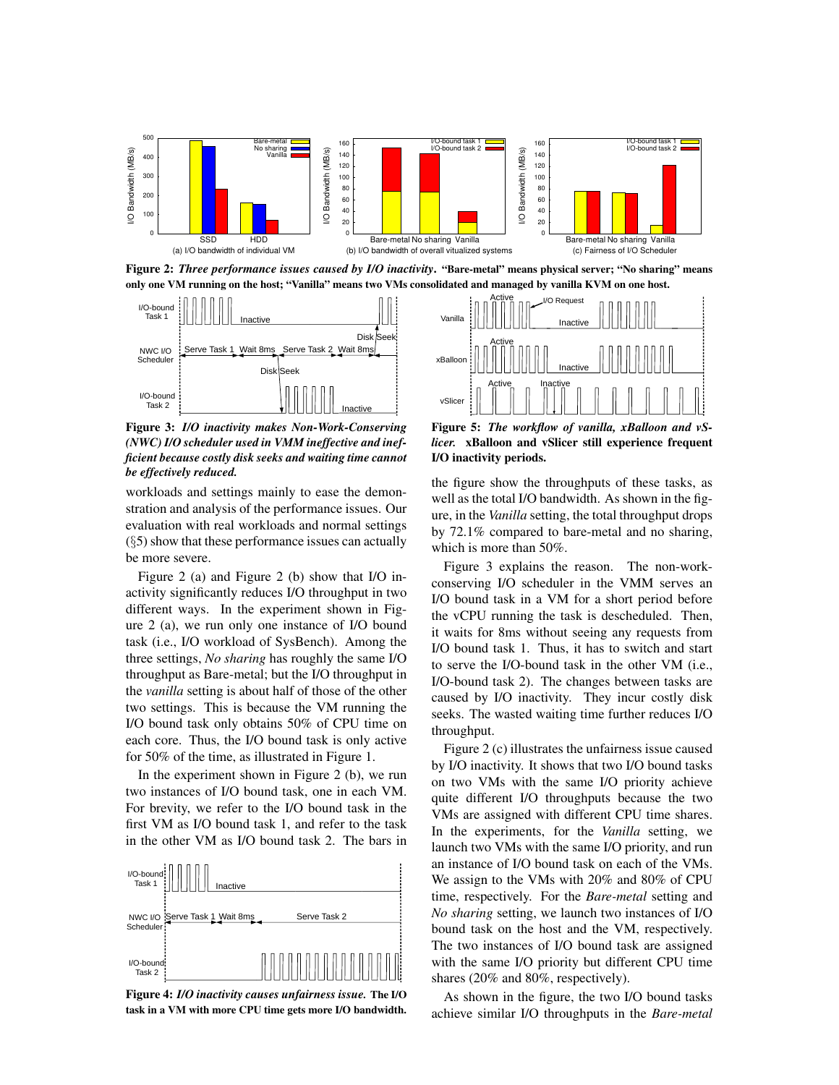

Figure 2: *Three performance issues caused by I/O inactivity*. "Bare-metal" means physical server; "No sharing" means only one VM running on the host; "Vanilla" means two VMs consolidated and managed by vanilla KVM on one host.



Figure 3: *I/O inactivity makes Non-Work-Conserving (NWC) I/O scheduler used in VMM ineffective and inefficient because costly disk seeks and waiting time cannot be effectively reduced.*

workloads and settings mainly to ease the demonstration and analysis of the performance issues. Our evaluation with real workloads and normal settings  $(\S 5)$  show that these performance issues can actually be more severe.

Figure 2 (a) and Figure 2 (b) show that I/O inactivity significantly reduces I/O throughput in two different ways. In the experiment shown in Figure 2 (a), we run only one instance of I/O bound task (i.e., I/O workload of SysBench). Among the three settings, *No sharing* has roughly the same I/O throughput as Bare-metal; but the I/O throughput in the *vanilla* setting is about half of those of the other two settings. This is because the VM running the I/O bound task only obtains 50% of CPU time on each core. Thus, the I/O bound task is only active for 50% of the time, as illustrated in Figure 1.

In the experiment shown in Figure 2 (b), we run two instances of I/O bound task, one in each VM. For brevity, we refer to the I/O bound task in the first VM as I/O bound task 1, and refer to the task in the other VM as I/O bound task 2. The bars in



Figure 4: *I/O inactivity causes unfairness issue.* The I/O task in a VM with more CPU time gets more I/O bandwidth.



Figure 5: *The workflow of vanilla, xBalloon and vSlicer.* xBalloon and vSlicer still experience frequent I/O inactivity periods.

the figure show the throughputs of these tasks, as well as the total I/O bandwidth. As shown in the figure, in the *Vanilla* setting, the total throughput drops by 72.1% compared to bare-metal and no sharing, which is more than 50%.

Figure 3 explains the reason. The non-workconserving I/O scheduler in the VMM serves an I/O bound task in a VM for a short period before the vCPU running the task is descheduled. Then, it waits for 8ms without seeing any requests from I/O bound task 1. Thus, it has to switch and start to serve the I/O-bound task in the other VM (i.e., I/O-bound task 2). The changes between tasks are caused by I/O inactivity. They incur costly disk seeks. The wasted waiting time further reduces I/O throughput.

Figure 2 (c) illustrates the unfairness issue caused by I/O inactivity. It shows that two I/O bound tasks on two VMs with the same I/O priority achieve quite different I/O throughputs because the two VMs are assigned with different CPU time shares. In the experiments, for the *Vanilla* setting, we launch two VMs with the same I/O priority, and run an instance of I/O bound task on each of the VMs. We assign to the VMs with 20% and 80% of CPU time, respectively. For the *Bare-metal* setting and *No sharing* setting, we launch two instances of I/O bound task on the host and the VM, respectively. The two instances of I/O bound task are assigned with the same I/O priority but different CPU time shares (20% and 80%, respectively).

As shown in the figure, the two I/O bound tasks achieve similar I/O throughputs in the *Bare-metal*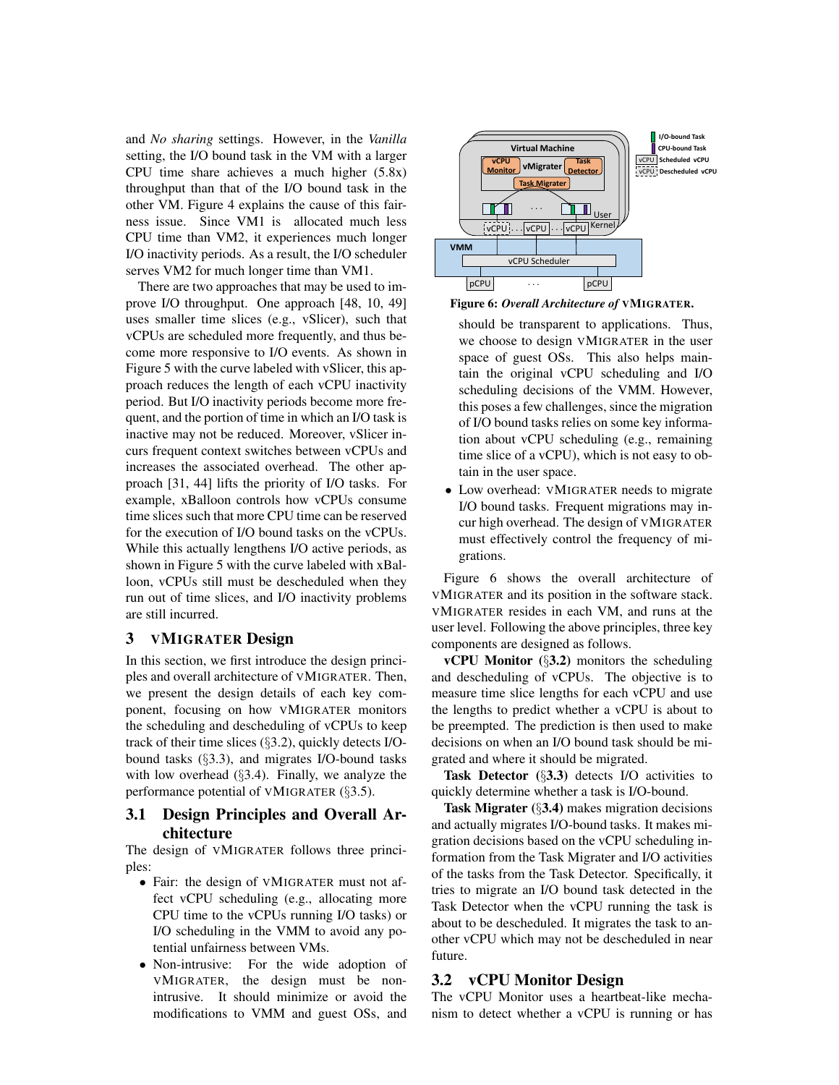and *No sharing* settings. However, in the *Vanilla* setting, the I/O bound task in the VM with a larger CPU time share achieves a much higher (5.8x) throughput than that of the I/O bound task in the other VM. Figure 4 explains the cause of this fairness issue. Since VM1 is allocated much less CPU time than VM2, it experiences much longer I/O inactivity periods. As a result, the I/O scheduler serves VM2 for much longer time than VM1.

There are two approaches that may be used to improve I/O throughput. One approach [48, 10, 49] uses smaller time slices (e.g., vSlicer), such that vCPUs are scheduled more frequently, and thus become more responsive to I/O events. As shown in Figure 5 with the curve labeled with vSlicer, this approach reduces the length of each vCPU inactivity period. But I/O inactivity periods become more frequent, and the portion of time in which an I/O task is inactive may not be reduced. Moreover, vSlicer incurs frequent context switches between vCPUs and increases the associated overhead. The other approach [31, 44] lifts the priority of I/O tasks. For example, xBalloon controls how vCPUs consume time slices such that more CPU time can be reserved for the execution of I/O bound tasks on the vCPUs. While this actually lengthens I/O active periods, as shown in Figure 5 with the curve labeled with xBalloon, vCPUs still must be descheduled when they run out of time slices, and I/O inactivity problems are still incurred.

## 3 VMIGRATER Design

In this section, we first introduce the design principles and overall architecture of VMIGRATER. Then, we present the design details of each key component, focusing on how VMIGRATER monitors the scheduling and descheduling of vCPUs to keep track of their time slices (§3.2), quickly detects I/Obound tasks (§3.3), and migrates I/O-bound tasks with low overhead (§3.4). Finally, we analyze the performance potential of VMIGRATER (§3.5).

## 3.1 Design Principles and Overall Architecture

The design of VMIGRATER follows three principles:

- Fair: the design of VMIGRATER must not affect vCPU scheduling (e.g., allocating more CPU time to the vCPUs running I/O tasks) or I/O scheduling in the VMM to avoid any potential unfairness between VMs.
- Non-intrusive: For the wide adoption of VMIGRATER, the design must be nonintrusive. It should minimize or avoid the modifications to VMM and guest OSs, and





- should be transparent to applications. Thus, we choose to design VMIGRATER in the user space of guest OSs. This also helps maintain the original vCPU scheduling and I/O scheduling decisions of the VMM. However, this poses a few challenges, since the migration of I/O bound tasks relies on some key information about vCPU scheduling (e.g., remaining time slice of a vCPU), which is not easy to obtain in the user space.
- Low overhead: VMIGRATER needs to migrate I/O bound tasks. Frequent migrations may incur high overhead. The design of VMIGRATER must effectively control the frequency of migrations.

Figure 6 shows the overall architecture of VMIGRATER and its position in the software stack. VMIGRATER resides in each VM, and runs at the user level. Following the above principles, three key components are designed as follows.

**vCPU** Monitor  $(\S3.2)$  monitors the scheduling and descheduling of vCPUs. The objective is to measure time slice lengths for each vCPU and use the lengths to predict whether a vCPU is about to be preempted. The prediction is then used to make decisions on when an I/O bound task should be migrated and where it should be migrated.

Task Detector (§3.3) detects I/O activities to quickly determine whether a task is I/O-bound.

Task Migrater (§3.4) makes migration decisions and actually migrates I/O-bound tasks. It makes migration decisions based on the vCPU scheduling information from the Task Migrater and I/O activities of the tasks from the Task Detector. Specifically, it tries to migrate an I/O bound task detected in the Task Detector when the vCPU running the task is about to be descheduled. It migrates the task to another vCPU which may not be descheduled in near future.

#### 3.2 vCPU Monitor Design

The vCPU Monitor uses a heartbeat-like mechanism to detect whether a vCPU is running or has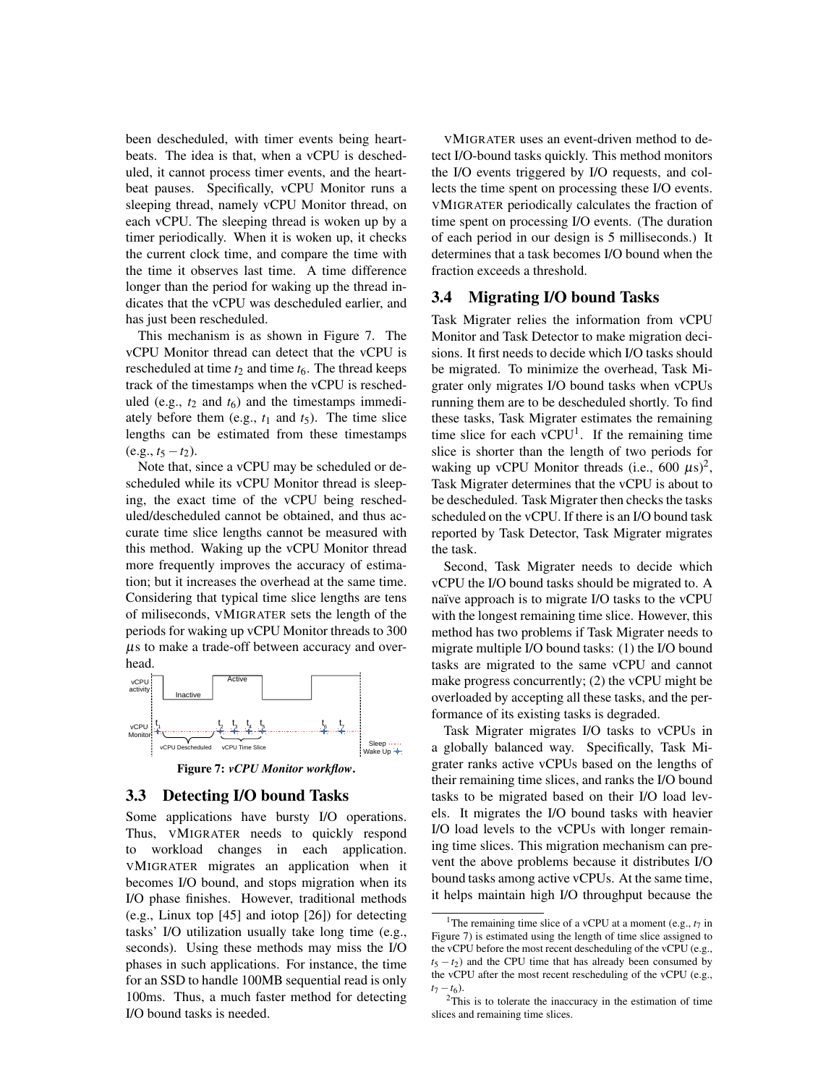been descheduled, with timer events being heartbeats. The idea is that, when a vCPU is descheduled, it cannot process timer events, and the heartbeat pauses. Specifically, vCPU Monitor runs a sleeping thread, namely vCPU Monitor thread, on each vCPU. The sleeping thread is woken up by a timer periodically. When it is woken up, it checks the current clock time, and compare the time with the time it observes last time. A time difference longer than the period for waking up the thread indicates that the vCPU was descheduled earlier, and has just been rescheduled.

This mechanism is as shown in Figure 7. The vCPU Monitor thread can detect that the vCPU is rescheduled at time  $t_2$  and time  $t_6$ . The thread keeps track of the timestamps when the vCPU is rescheduled (e.g.,  $t_2$  and  $t_6$ ) and the timestamps immediately before them (e.g.,  $t_1$  and  $t_5$ ). The time slice lengths can be estimated from these timestamps  $(e.g., t_5 - t_2).$ 

Note that, since a vCPU may be scheduled or descheduled while its vCPU Monitor thread is sleeping, the exact time of the vCPU being rescheduled/descheduled cannot be obtained, and thus accurate time slice lengths cannot be measured with this method. Waking up the vCPU Monitor thread more frequently improves the accuracy of estimation; but it increases the overhead at the same time. Considering that typical time slice lengths are tens of miliseconds, VMIGRATER sets the length of the periods for waking up vCPU Monitor threads to 300 µs to make a trade-off between accuracy and overhead.



Figure 7: *vCPU Monitor workflow*.

## 3.3 Detecting I/O bound Tasks

Some applications have bursty I/O operations. Thus, VMIGRATER needs to quickly respond to workload changes in each application. VMIGRATER migrates an application when it becomes I/O bound, and stops migration when its I/O phase finishes. However, traditional methods (e.g., Linux top [45] and iotop [26]) for detecting tasks' I/O utilization usually take long time (e.g., seconds). Using these methods may miss the I/O phases in such applications. For instance, the time for an SSD to handle 100MB sequential read is only 100ms. Thus, a much faster method for detecting I/O bound tasks is needed.

VMIGRATER uses an event-driven method to detect I/O-bound tasks quickly. This method monitors the I/O events triggered by I/O requests, and collects the time spent on processing these I/O events. VMIGRATER periodically calculates the fraction of time spent on processing I/O events. (The duration of each period in our design is 5 milliseconds.) It determines that a task becomes I/O bound when the fraction exceeds a threshold.

## 3.4 Migrating I/O bound Tasks

Task Migrater relies the information from vCPU Monitor and Task Detector to make migration decisions. It first needs to decide which I/O tasks should be migrated. To minimize the overhead, Task Migrater only migrates I/O bound tasks when vCPUs running them are to be descheduled shortly. To find these tasks, Task Migrater estimates the remaining time slice for each  $vCPU<sup>1</sup>$ . If the remaining time slice is shorter than the length of two periods for waking up vCPU Monitor threads (i.e., 600  $\mu s$ )<sup>2</sup>, Task Migrater determines that the vCPU is about to be descheduled. Task Migrater then checks the tasks scheduled on the vCPU. If there is an I/O bound task reported by Task Detector, Task Migrater migrates the task.

Second, Task Migrater needs to decide which vCPU the I/O bound tasks should be migrated to. A naïve approach is to migrate I/O tasks to the vCPU with the longest remaining time slice. However, this method has two problems if Task Migrater needs to migrate multiple I/O bound tasks: (1) the I/O bound tasks are migrated to the same vCPU and cannot make progress concurrently; (2) the vCPU might be overloaded by accepting all these tasks, and the performance of its existing tasks is degraded.

Task Migrater migrates I/O tasks to vCPUs in a globally balanced way. Specifically, Task Migrater ranks active vCPUs based on the lengths of their remaining time slices, and ranks the I/O bound tasks to be migrated based on their I/O load levels. It migrates the I/O bound tasks with heavier I/O load levels to the vCPUs with longer remaining time slices. This migration mechanism can prevent the above problems because it distributes I/O bound tasks among active vCPUs. At the same time, it helps maintain high I/O throughput because the

<sup>&</sup>lt;sup>1</sup>The remaining time slice of a vCPU at a moment (e.g.,  $t_7$  in Figure 7) is estimated using the length of time slice assigned to the vCPU before the most recent descheduling of the vCPU (e.g.,  $t_5 - t_2$ ) and the CPU time that has already been consumed by the vCPU after the most recent rescheduling of the vCPU (e.g.,  $t_7 - t_6$ ).

 $2$ This is to tolerate the inaccuracy in the estimation of time slices and remaining time slices.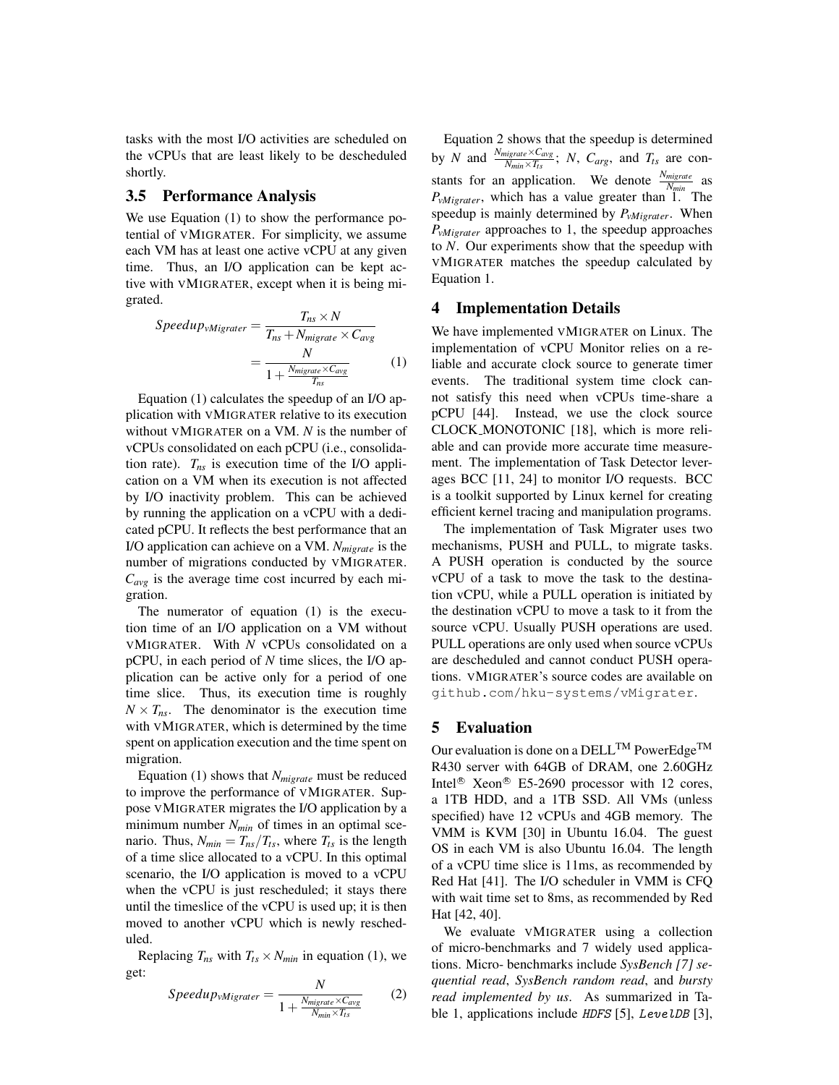tasks with the most I/O activities are scheduled on the vCPUs that are least likely to be descheduled shortly.

## 3.5 Performance Analysis

We use Equation (1) to show the performance potential of VMIGRATER. For simplicity, we assume each VM has at least one active vCPU at any given time. Thus, an I/O application can be kept active with VMIGRATER, except when it is being migrated.

$$
Speedup_{vMigrater} = \frac{T_{ns} \times N}{T_{ns} + N_{migrate} \times C_{avg}}
$$

$$
= \frac{N}{1 + \frac{N_{migrate} \times C_{avg}}{T_{ns}}}
$$
(1)

Equation (1) calculates the speedup of an I/O application with VMIGRATER relative to its execution without VMIGRATER on a VM. *N* is the number of vCPUs consolidated on each pCPU (i.e., consolidation rate). *Tns* is execution time of the I/O application on a VM when its execution is not affected by I/O inactivity problem. This can be achieved by running the application on a vCPU with a dedicated pCPU. It reflects the best performance that an I/O application can achieve on a VM. *Nmigrate* is the number of migrations conducted by VMIGRATER. *Cavg* is the average time cost incurred by each migration.

The numerator of equation (1) is the execution time of an I/O application on a VM without VMIGRATER. With *N* vCPUs consolidated on a pCPU, in each period of *N* time slices, the I/O application can be active only for a period of one time slice. Thus, its execution time is roughly  $N \times T_{ns}$ . The denominator is the execution time with VMIGRATER, which is determined by the time spent on application execution and the time spent on migration.

Equation (1) shows that *Nmigrate* must be reduced to improve the performance of VMIGRATER. Suppose VMIGRATER migrates the I/O application by a minimum number *Nmin* of times in an optimal scenario. Thus,  $N_{min} = T_{ns}/T_{ts}$ , where  $T_{ts}$  is the length of a time slice allocated to a vCPU. In this optimal scenario, the I/O application is moved to a vCPU when the vCPU is just rescheduled; it stays there until the timeslice of the vCPU is used up; it is then moved to another vCPU which is newly rescheduled.

Replacing  $T_{ns}$  with  $T_{ts} \times N_{min}$  in equation (1), we get:

$$
Speedup_{vMigrater} = \frac{N}{1 + \frac{N_{migrate} \times C_{avg}}{N_{min} \times T_{ts}}}
$$
 (2)

Equation 2 shows that the speedup is determined by *N* and  $\frac{N_{migrate} \times C_{avg}}{N_{min} \times T_{ts}}$ ; *N*,  $C_{arg}$ , and  $T_{ts}$  are constants for an application. We denote  $\frac{N_{magnetic}}{N_{min}}$  as *P*<sub>*vMigrater*</sub>, which has a value greater than 1. The speedup is mainly determined by *PvMigrater*. When *PvMigrater* approaches to 1, the speedup approaches to *N*. Our experiments show that the speedup with VMIGRATER matches the speedup calculated by Equation 1.

#### 4 Implementation Details

We have implemented VMIGRATER on Linux. The implementation of vCPU Monitor relies on a reliable and accurate clock source to generate timer events. The traditional system time clock cannot satisfy this need when vCPUs time-share a pCPU [44]. Instead, we use the clock source CLOCK MONOTONIC [18], which is more reliable and can provide more accurate time measurement. The implementation of Task Detector leverages BCC [11, 24] to monitor I/O requests. BCC is a toolkit supported by Linux kernel for creating efficient kernel tracing and manipulation programs.

The implementation of Task Migrater uses two mechanisms, PUSH and PULL, to migrate tasks. A PUSH operation is conducted by the source vCPU of a task to move the task to the destination vCPU, while a PULL operation is initiated by the destination vCPU to move a task to it from the source vCPU. Usually PUSH operations are used. PULL operations are only used when source vCPUs are descheduled and cannot conduct PUSH operations. VMIGRATER's source codes are available on github.com/hku-systems/vMigrater.

#### 5 Evaluation

Our evaluation is done on a DELL<sup>TM</sup> PowerEdge<sup>TM</sup> R430 server with 64GB of DRAM, one 2.60GHz Intel<sup>®</sup> Xeon<sup>®</sup> E5-2690 processor with 12 cores, a 1TB HDD, and a 1TB SSD. All VMs (unless specified) have 12 vCPUs and 4GB memory. The VMM is KVM [30] in Ubuntu 16.04. The guest OS in each VM is also Ubuntu 16.04. The length of a vCPU time slice is 11ms, as recommended by Red Hat [41]. The I/O scheduler in VMM is CFQ with wait time set to 8ms, as recommended by Red Hat [42, 40].

We evaluate VMIGRATER using a collection of micro-benchmarks and 7 widely used applications. Micro- benchmarks include *SysBench [7] sequential read*, *SysBench random read*, and *bursty read implemented by us*. As summarized in Table 1, applications include *HDFS* [5], *LevelDB* [3],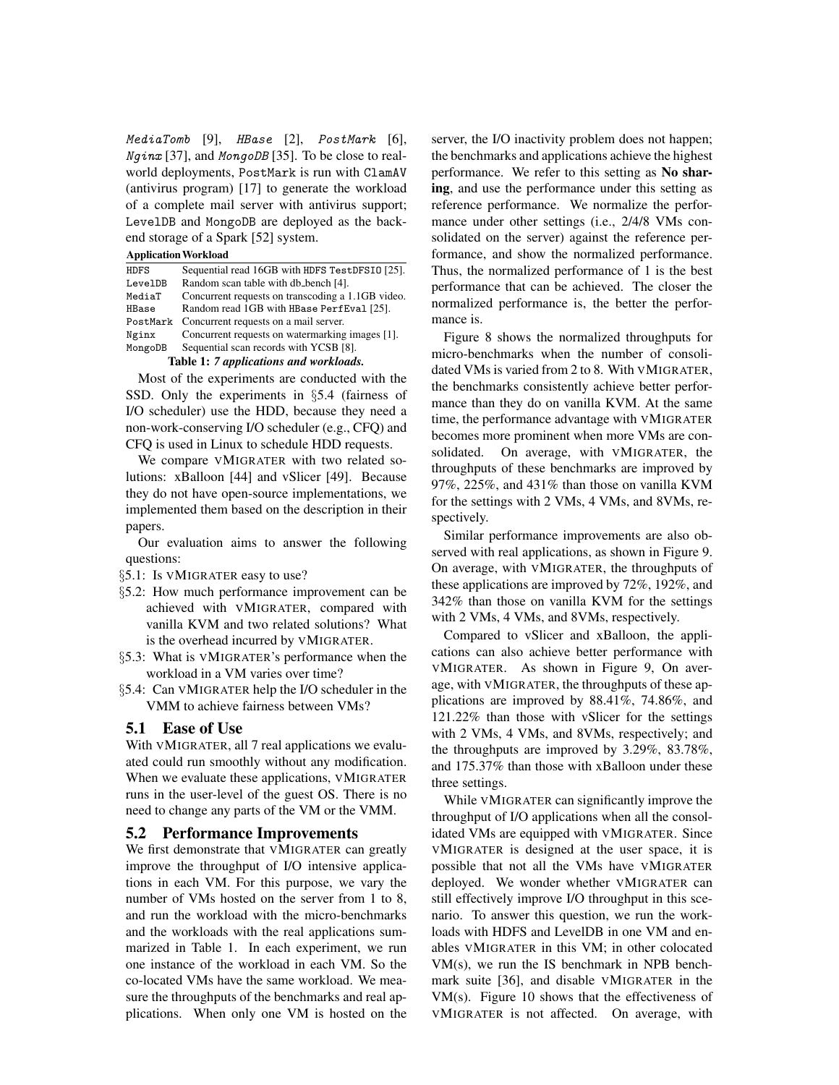MediaTomb [9], HBase [2], PostMark [6], Nginx [37], and MongoDB [35]. To be close to realworld deployments, PostMark is run with ClamAV (antivirus program) [17] to generate the workload of a complete mail server with antivirus support; LevelDB and MongoDB are deployed as the backend storage of a Spark [52] system.

#### ApplicationWorkload

| HDFS                                   | Sequential read 16GB with HDFS TestDFSI0 [25].    |  |  |  |
|----------------------------------------|---------------------------------------------------|--|--|--|
| LevelDB                                | Random scan table with db_bench [4].              |  |  |  |
| MediaT                                 | Concurrent requests on transcoding a 1.1GB video. |  |  |  |
| HBase                                  | Random read 1GB with HBase PerfEval [25].         |  |  |  |
| PostMark                               | Concurrent requests on a mail server.             |  |  |  |
| Nginx                                  | Concurrent requests on watermarking images [1].   |  |  |  |
| MongoDB                                | Sequential scan records with YCSB [8].            |  |  |  |
| Table 1: 7 applications and workloads. |                                                   |  |  |  |

Most of the experiments are conducted with the SSD. Only the experiments in §5.4 (fairness of I/O scheduler) use the HDD, because they need a non-work-conserving I/O scheduler (e.g., CFQ) and CFQ is used in Linux to schedule HDD requests.

We compare VMIGRATER with two related solutions: xBalloon [44] and vSlicer [49]. Because they do not have open-source implementations, we implemented them based on the description in their papers.

Our evaluation aims to answer the following questions:

§5.1: Is VMIGRATER easy to use?

- §5.2: How much performance improvement can be achieved with VMIGRATER, compared with vanilla KVM and two related solutions? What is the overhead incurred by VMIGRATER.
- §5.3: What is VMIGRATER's performance when the workload in a VM varies over time?
- §5.4: Can VMIGRATER help the I/O scheduler in the VMM to achieve fairness between VMs?

#### 5.1 Ease of Use

With VMIGRATER, all 7 real applications we evaluated could run smoothly without any modification. When we evaluate these applications, VMIGRATER runs in the user-level of the guest OS. There is no need to change any parts of the VM or the VMM.

#### 5.2 Performance Improvements

We first demonstrate that VMIGRATER can greatly improve the throughput of I/O intensive applications in each VM. For this purpose, we vary the number of VMs hosted on the server from 1 to 8, and run the workload with the micro-benchmarks and the workloads with the real applications summarized in Table 1. In each experiment, we run one instance of the workload in each VM. So the co-located VMs have the same workload. We measure the throughputs of the benchmarks and real applications. When only one VM is hosted on the server, the I/O inactivity problem does not happen; the benchmarks and applications achieve the highest performance. We refer to this setting as No sharing, and use the performance under this setting as reference performance. We normalize the performance under other settings (i.e., 2/4/8 VMs consolidated on the server) against the reference performance, and show the normalized performance. Thus, the normalized performance of 1 is the best performance that can be achieved. The closer the normalized performance is, the better the performance is.

Figure 8 shows the normalized throughputs for micro-benchmarks when the number of consolidated VMs is varied from 2 to 8. With VMIGRATER, the benchmarks consistently achieve better performance than they do on vanilla KVM. At the same time, the performance advantage with VMIGRATER becomes more prominent when more VMs are consolidated. On average, with VMIGRATER, the throughputs of these benchmarks are improved by 97%, 225%, and 431% than those on vanilla KVM for the settings with 2 VMs, 4 VMs, and 8VMs, respectively.

Similar performance improvements are also observed with real applications, as shown in Figure 9. On average, with VMIGRATER, the throughputs of these applications are improved by 72%, 192%, and 342% than those on vanilla KVM for the settings with 2 VMs, 4 VMs, and 8VMs, respectively.

Compared to vSlicer and xBalloon, the applications can also achieve better performance with VMIGRATER. As shown in Figure 9, On average, with VMIGRATER, the throughputs of these applications are improved by 88.41%, 74.86%, and 121.22% than those with vSlicer for the settings with 2 VMs, 4 VMs, and 8VMs, respectively; and the throughputs are improved by 3.29%, 83.78%, and 175.37% than those with xBalloon under these three settings.

While VMIGRATER can significantly improve the throughput of I/O applications when all the consolidated VMs are equipped with VMIGRATER. Since VMIGRATER is designed at the user space, it is possible that not all the VMs have VMIGRATER deployed. We wonder whether VMIGRATER can still effectively improve I/O throughput in this scenario. To answer this question, we run the workloads with HDFS and LevelDB in one VM and enables VMIGRATER in this VM; in other colocated VM(s), we run the IS benchmark in NPB benchmark suite [36], and disable VMIGRATER in the VM(s). Figure 10 shows that the effectiveness of VMIGRATER is not affected. On average, with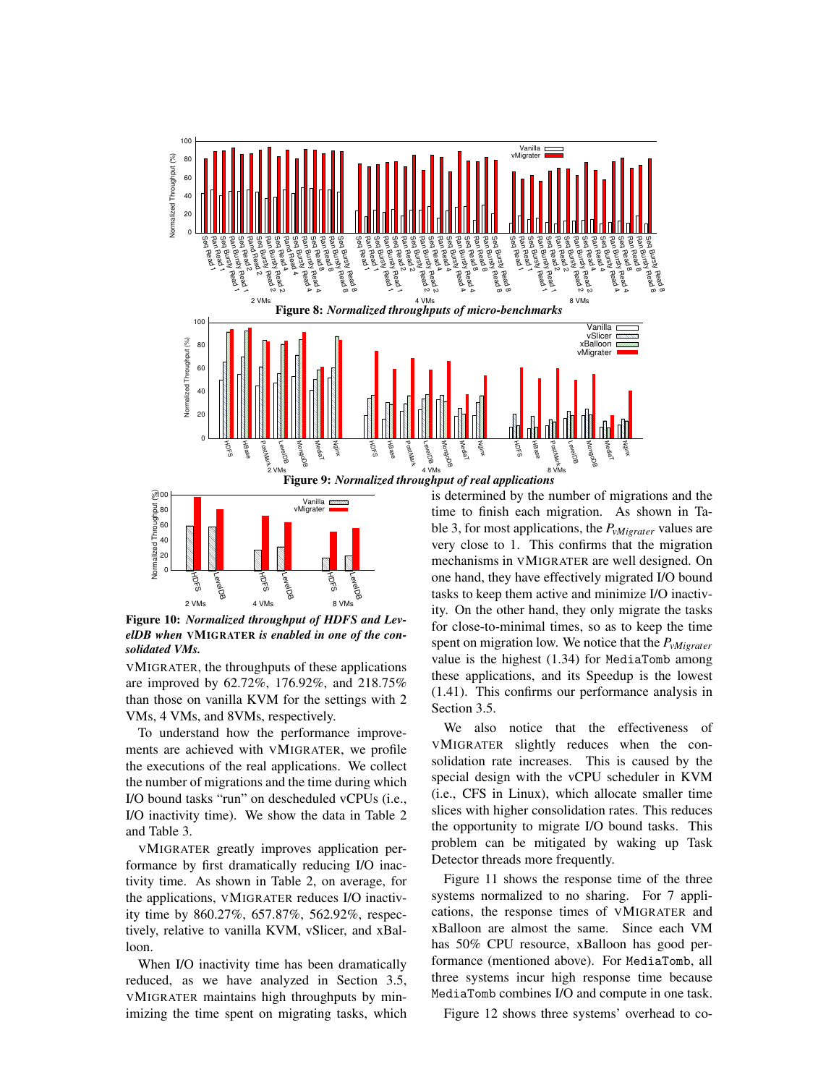

Figure 9: *Normalized throughput of real applications*



Figure 10: *Normalized throughput of HDFS and LevelDB when* VMIGRATER *is enabled in one of the consolidated VMs.*

VMIGRATER, the throughputs of these applications are improved by 62.72%, 176.92%, and 218.75% than those on vanilla KVM for the settings with 2 VMs, 4 VMs, and 8VMs, respectively.

To understand how the performance improvements are achieved with VMIGRATER, we profile the executions of the real applications. We collect the number of migrations and the time during which I/O bound tasks "run" on descheduled vCPUs (i.e., I/O inactivity time). We show the data in Table 2 and Table 3.

VMIGRATER greatly improves application performance by first dramatically reducing I/O inactivity time. As shown in Table 2, on average, for the applications, VMIGRATER reduces I/O inactivity time by 860.27%, 657.87%, 562.92%, respectively, relative to vanilla KVM, vSlicer, and xBalloon.

When I/O inactivity time has been dramatically reduced, as we have analyzed in Section 3.5, VMIGRATER maintains high throughputs by minimizing the time spent on migrating tasks, which is determined by the number of migrations and the time to finish each migration. As shown in Table 3, for most applications, the *PvMigrater* values are very close to 1. This confirms that the migration mechanisms in VMIGRATER are well designed. On one hand, they have effectively migrated I/O bound tasks to keep them active and minimize I/O inactivity. On the other hand, they only migrate the tasks for close-to-minimal times, so as to keep the time spent on migration low. We notice that the *PvMigrater* value is the highest (1.34) for MediaTomb among these applications, and its Speedup is the lowest (1.41). This confirms our performance analysis in Section 3.5.

We also notice that the effectiveness of VMIGRATER slightly reduces when the consolidation rate increases. This is caused by the special design with the vCPU scheduler in KVM (i.e., CFS in Linux), which allocate smaller time slices with higher consolidation rates. This reduces the opportunity to migrate I/O bound tasks. This problem can be mitigated by waking up Task Detector threads more frequently.

Figure 11 shows the response time of the three systems normalized to no sharing. For 7 applications, the response times of VMIGRATER and xBalloon are almost the same. Since each VM has 50% CPU resource, xBalloon has good performance (mentioned above). For MediaTomb, all three systems incur high response time because MediaTomb combines I/O and compute in one task.

Figure 12 shows three systems' overhead to co-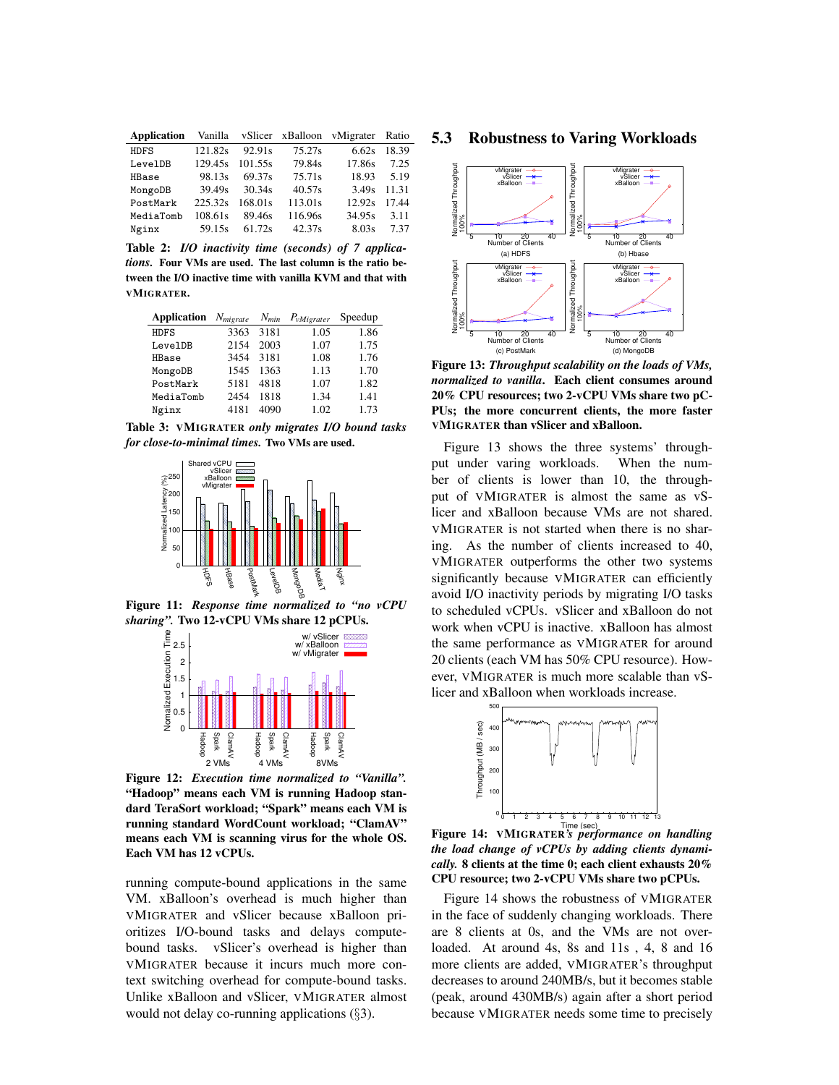| <b>Application</b> |         |         |         | Vanilla vSlicer xBalloon vMigrater Ratio |       |
|--------------------|---------|---------|---------|------------------------------------------|-------|
| <b>HDFS</b>        | 121.82s | 92.91s  | 75.27s  | 6.62s                                    | 18.39 |
| LevelDB            | 129.45s | 101.55s | 79.84s  | 17.86s                                   | 7.25  |
| HBase              | 98.13s  | 69.37s  | 75.71s  | 18.93                                    | 5.19  |
| MongoDB            | 39.49s  | 30.34s  | 40.57s  | 3.49s                                    | 11.31 |
| PostMark           | 225.32s | 168.01s | 113.01s | 12.92s                                   | 17.44 |
| MediaTomb          | 108.61s | 89.46s  | 116.96s | 34.95s                                   | 3.11  |
| Nginx              | 59.15s  | 61.72s  | 42.37s  | 8.03s                                    | 7.37  |

Table 2: *I/O inactivity time (seconds) of 7 applications.* Four VMs are used. The last column is the ratio between the I/O inactive time with vanilla KVM and that with VMIGRATER.

| <b>Application</b> | $N_{migrate}$ | $N_{min}$ | $P_{vMierater}$ | Speedup |
|--------------------|---------------|-----------|-----------------|---------|
| <b>HDFS</b>        | 3363          | 3181      | 1.05            | 1.86    |
| LevelDB            | 2154          | 2003      | 1.07            | 1.75    |
| HBase              | 3454          | 3181      | 1.08            | 1.76    |
| MongoDB            | 1545          | 1363      | 1.13            | 1.70    |
| PostMark           | 5181          | 4818      | 1.07            | 1.82    |
| MediaTomb          | 2454          | 1818      | 1.34            | 1.41    |
| Nginx              | 4181          | 4090      | 1.02            | 1.73    |

Table 3: VMIGRATER *only migrates I/O bound tasks for close-to-minimal times.* Two VMs are used.



Figure 11: *Response time normalized to "no vCPU sharing".* Two 12-vCPU VMs share 12 pCPUs.



Figure 12: *Execution time normalized to "Vanilla".* "Hadoop" means each VM is running Hadoop standard TeraSort workload; "Spark" means each VM is running standard WordCount workload; "ClamAV" means each VM is scanning virus for the whole OS. Each VM has 12 vCPUs.

running compute-bound applications in the same VM. xBalloon's overhead is much higher than VMIGRATER and vSlicer because xBalloon prioritizes I/O-bound tasks and delays computebound tasks. vSlicer's overhead is higher than VMIGRATER because it incurs much more context switching overhead for compute-bound tasks. Unlike xBalloon and vSlicer, VMIGRATER almost would not delay co-running applications (§3).

#### 5.3 Robustness to Varing Workloads



Figure 13: *Throughput scalability on the loads of VMs, normalized to vanilla*. Each client consumes around 20% CPU resources; two 2-vCPU VMs share two pC-PUs; the more concurrent clients, the more faster VMIGRATER than vSlicer and xBalloon.

Figure 13 shows the three systems' throughput under varing workloads. When the number of clients is lower than 10, the throughput of VMIGRATER is almost the same as vSlicer and xBalloon because VMs are not shared. VMIGRATER is not started when there is no sharing. As the number of clients increased to 40, VMIGRATER outperforms the other two systems significantly because VMIGRATER can efficiently avoid I/O inactivity periods by migrating I/O tasks to scheduled vCPUs. vSlicer and xBalloon do not work when vCPU is inactive. xBalloon has almost the same performance as VMIGRATER for around 20 clients (each VM has 50% CPU resource). However, VMIGRATER is much more scalable than vSlicer and xBalloon when workloads increase.



Figure 14: VMIGRATER*'s performance on handling the load change of vCPUs by adding clients dynamically.* 8 clients at the time 0; each client exhausts 20% CPU resource; two 2-vCPU VMs share two pCPUs.

Figure 14 shows the robustness of VMIGRATER in the face of suddenly changing workloads. There are 8 clients at 0s, and the VMs are not overloaded. At around 4s, 8s and 11s , 4, 8 and 16 more clients are added, VMIGRATER's throughput decreases to around 240MB/s, but it becomes stable (peak, around 430MB/s) again after a short period because VMIGRATER needs some time to precisely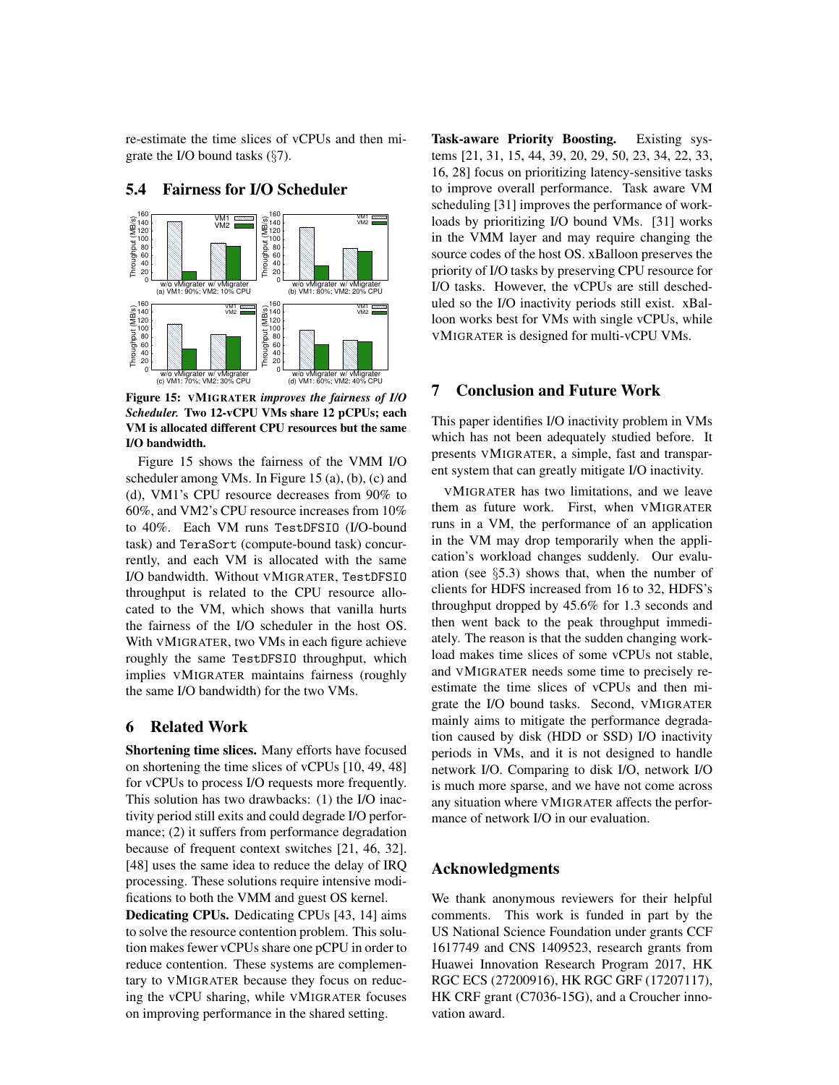re-estimate the time slices of vCPUs and then migrate the I/O bound tasks (§7).



# 5.4 Fairness for I/O Scheduler

Figure 15: VMIGRATER *improves the fairness of I/O Scheduler.* Two 12-vCPU VMs share 12 pCPUs; each VM is allocated different CPU resources but the same I/O bandwidth.

Figure 15 shows the fairness of the VMM I/O scheduler among VMs. In Figure 15 (a), (b), (c) and (d), VM1's CPU resource decreases from 90% to 60%, and VM2's CPU resource increases from 10% to 40%. Each VM runs TestDFSIO (I/O-bound task) and TeraSort (compute-bound task) concurrently, and each VM is allocated with the same I/O bandwidth. Without VMIGRATER, TestDFSIO throughput is related to the CPU resource allocated to the VM, which shows that vanilla hurts the fairness of the I/O scheduler in the host OS. With VMIGRATER, two VMs in each figure achieve roughly the same TestDFSIO throughput, which implies VMIGRATER maintains fairness (roughly the same I/O bandwidth) for the two VMs.

## 6 Related Work

Shortening time slices. Many efforts have focused on shortening the time slices of vCPUs [10, 49, 48] for vCPUs to process I/O requests more frequently. This solution has two drawbacks: (1) the I/O inactivity period still exits and could degrade I/O performance; (2) it suffers from performance degradation because of frequent context switches [21, 46, 32]. [48] uses the same idea to reduce the delay of IRQ processing. These solutions require intensive modifications to both the VMM and guest OS kernel.

Dedicating CPUs. Dedicating CPUs [43, 14] aims to solve the resource contention problem. This solution makes fewer vCPUs share one pCPU in order to reduce contention. These systems are complementary to VMIGRATER because they focus on reducing the vCPU sharing, while VMIGRATER focuses on improving performance in the shared setting.

Task-aware Priority Boosting. Existing systems [21, 31, 15, 44, 39, 20, 29, 50, 23, 34, 22, 33, 16, 28] focus on prioritizing latency-sensitive tasks to improve overall performance. Task aware VM scheduling [31] improves the performance of workloads by prioritizing I/O bound VMs. [31] works in the VMM layer and may require changing the source codes of the host OS. xBalloon preserves the priority of I/O tasks by preserving CPU resource for I/O tasks. However, the vCPUs are still descheduled so the I/O inactivity periods still exist. xBalloon works best for VMs with single vCPUs, while VMIGRATER is designed for multi-vCPU VMs.

## 7 Conclusion and Future Work

This paper identifies I/O inactivity problem in VMs which has not been adequately studied before. It presents VMIGRATER, a simple, fast and transparent system that can greatly mitigate I/O inactivity.

VMIGRATER has two limitations, and we leave them as future work. First, when VMIGRATER runs in a VM, the performance of an application in the VM may drop temporarily when the application's workload changes suddenly. Our evaluation (see §5.3) shows that, when the number of clients for HDFS increased from 16 to 32, HDFS's throughput dropped by 45.6% for 1.3 seconds and then went back to the peak throughput immediately. The reason is that the sudden changing workload makes time slices of some vCPUs not stable, and VMIGRATER needs some time to precisely reestimate the time slices of vCPUs and then migrate the I/O bound tasks. Second, VMIGRATER mainly aims to mitigate the performance degradation caused by disk (HDD or SSD) I/O inactivity periods in VMs, and it is not designed to handle network I/O. Comparing to disk I/O, network I/O is much more sparse, and we have not come across any situation where VMIGRATER affects the performance of network I/O in our evaluation.

#### Acknowledgments

We thank anonymous reviewers for their helpful comments. This work is funded in part by the US National Science Foundation under grants CCF 1617749 and CNS 1409523, research grants from Huawei Innovation Research Program 2017, HK RGC ECS (27200916), HK RGC GRF (17207117), HK CRF grant (C7036-15G), and a Croucher innovation award.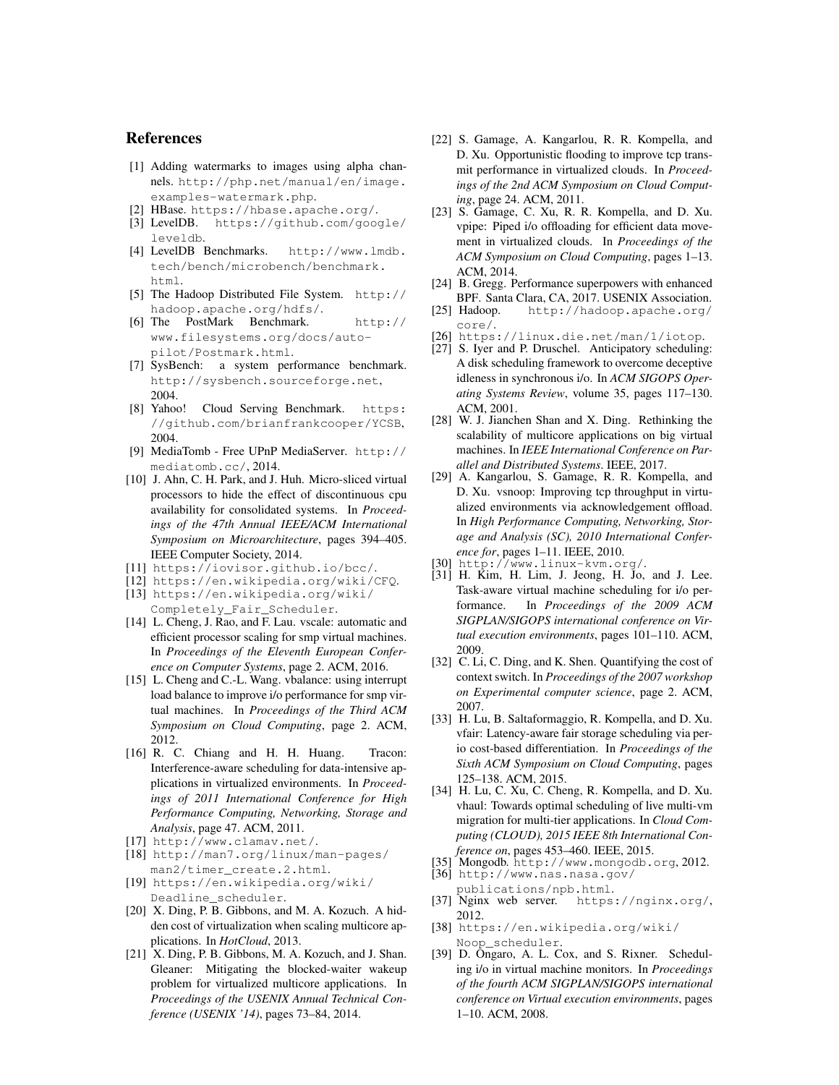## References

- [1] Adding watermarks to images using alpha channels. http://php.net/manual/en/image. examples-watermark.php.
- [2] HBase. https://hbase.apache.org/.
- [3] LevelDB. https://github.com/google/ leveldb.
- [4] LevelDB Benchmarks. http://www.lmdb. tech/bench/microbench/benchmark. html.
- [5] The Hadoop Distributed File System. http:// hadoop.apache.org/hdfs/.
- [6] The PostMark Benchmark. http:// www.filesystems.org/docs/autopilot/Postmark.html.
- [7] SysBench: a system performance benchmark. http://sysbench.sourceforge.net, 2004.
- [8] Yahoo! Cloud Serving Benchmark. https: //github.com/brianfrankcooper/YCSB, 2004.
- [9] MediaTomb Free UPnP MediaServer. http:// mediatomb.cc/, 2014.
- [10] J. Ahn, C. H. Park, and J. Huh. Micro-sliced virtual processors to hide the effect of discontinuous cpu availability for consolidated systems. In *Proceedings of the 47th Annual IEEE/ACM International Symposium on Microarchitecture*, pages 394–405. IEEE Computer Society, 2014.
- [11] https://iovisor.github.io/bcc/.
- [12] https://en.wikipedia.org/wiki/CFQ.
- [13] https://en.wikipedia.org/wiki/ Completely\_Fair\_Scheduler.
- [14] L. Cheng, J. Rao, and F. Lau. vscale: automatic and efficient processor scaling for smp virtual machines. In *Proceedings of the Eleventh European Conference on Computer Systems*, page 2. ACM, 2016.
- [15] L. Cheng and C.-L. Wang. vbalance: using interrupt load balance to improve i/o performance for smp virtual machines. In *Proceedings of the Third ACM Symposium on Cloud Computing*, page 2. ACM, 2012.
- [16] R. C. Chiang and H. H. Huang. Tracon: Interference-aware scheduling for data-intensive applications in virtualized environments. In *Proceedings of 2011 International Conference for High Performance Computing, Networking, Storage and Analysis*, page 47. ACM, 2011.
- [17] http://www.clamav.net/.
- [18] http://man7.org/linux/man-pages/ man2/timer\_create.2.html.
- [19] https://en.wikipedia.org/wiki/ Deadline\_scheduler.
- [20] X. Ding, P. B. Gibbons, and M. A. Kozuch. A hidden cost of virtualization when scaling multicore applications. In *HotCloud*, 2013.
- [21] X. Ding, P. B. Gibbons, M. A. Kozuch, and J. Shan. Gleaner: Mitigating the blocked-waiter wakeup problem for virtualized multicore applications. In *Proceedings of the USENIX Annual Technical Conference (USENIX '14)*, pages 73–84, 2014.
- [22] S. Gamage, A. Kangarlou, R. R. Kompella, and D. Xu. Opportunistic flooding to improve tcp transmit performance in virtualized clouds. In *Proceedings of the 2nd ACM Symposium on Cloud Computing*, page 24. ACM, 2011.
- [23] S. Gamage, C. Xu, R. R. Kompella, and D. Xu. vpipe: Piped i/o offloading for efficient data movement in virtualized clouds. In *Proceedings of the ACM Symposium on Cloud Computing*, pages 1–13. ACM, 2014.
- [24] B. Gregg. Performance superpowers with enhanced BPF. Santa Clara, CA, 2017. USENIX Association.<br>[25] Hadoop. http://hadoop.apache.org/
- http://hadoop.apache.org/ core/.
- [26] https://linux.die.net/man/1/iotop.
- [27] S. Iyer and P. Druschel. Anticipatory scheduling: A disk scheduling framework to overcome deceptive idleness in synchronous i/o. In *ACM SIGOPS Operating Systems Review*, volume 35, pages 117–130. ACM, 2001.
- [28] W. J. Jianchen Shan and X. Ding. Rethinking the scalability of multicore applications on big virtual machines. In *IEEE International Conference on Parallel and Distributed Systems*. IEEE, 2017.
- [29] A. Kangarlou, S. Gamage, R. R. Kompella, and D. Xu. vsnoop: Improving tcp throughput in virtualized environments via acknowledgement offload. In *High Performance Computing, Networking, Storage and Analysis (SC), 2010 International Conference for*, pages 1–11. IEEE, 2010.
- [30] http://www.linux-kvm.org/.
- [31] H. Kim, H. Lim, J. Jeong, H. Jo, and J. Lee. Task-aware virtual machine scheduling for i/o performance. In *Proceedings of the 2009 ACM SIGPLAN/SIGOPS international conference on Virtual execution environments*, pages 101–110. ACM, 2009.
- [32] C. Li, C. Ding, and K. Shen. Quantifying the cost of context switch. In *Proceedings of the 2007 workshop on Experimental computer science*, page 2. ACM, 2007.
- [33] H. Lu, B. Saltaformaggio, R. Kompella, and D. Xu. vfair: Latency-aware fair storage scheduling via perio cost-based differentiation. In *Proceedings of the Sixth ACM Symposium on Cloud Computing*, pages 125–138. ACM, 2015.
- [34] H. Lu, C. Xu, C. Cheng, R. Kompella, and D. Xu. vhaul: Towards optimal scheduling of live multi-vm migration for multi-tier applications. In *Cloud Computing (CLOUD), 2015 IEEE 8th International Conference on*, pages 453–460. IEEE, 2015.
- [35] Mongodb. http://www.mongodb.org, 2012.
- [36] http://www.nas.nasa.gov/
- publications/npb.html. [37] Nginx web server. https://nginx.org/, 2012.
- [38] https://en.wikipedia.org/wiki/ Noop\_scheduler.
- [39] D. Ongaro, A. L. Cox, and S. Rixner. Scheduling i/o in virtual machine monitors. In *Proceedings of the fourth ACM SIGPLAN/SIGOPS international conference on Virtual execution environments*, pages 1–10. ACM, 2008.